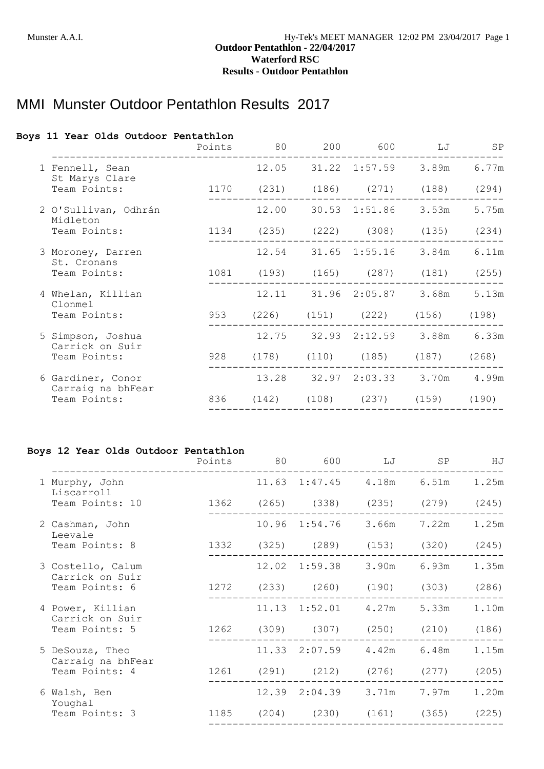# MMI Munster Outdoor Pentathlon Results 2017

## **Boys 11 Year Olds Outdoor Pentathlon**

|                                        | Points | 80 | 200 | 600 LJ                             | SP    |
|----------------------------------------|--------|----|-----|------------------------------------|-------|
| 1 Fennell, Sean<br>St Marys Clare      |        |    |     | 12.05 31.22 1:57.59 3.89m 6.77m    |       |
| Team Points:                           |        |    |     | 1170 (231) (186) (271) (188) (294) |       |
| 2 O'Sullivan, Odhrán<br>Midleton       |        |    |     | 12.00 30.53 1:51.86 3.53m          | 5.75m |
| Team Points:                           |        |    |     | 1134 (235) (222) (308) (135)       | (234) |
| 3 Moroney, Darren<br>St. Cronans       |        |    |     | 12.54 31.65 1:55.16 3.84m          | 6.11m |
| Team Points:                           |        |    |     | 1081 (193) (165) (287) (181)       | (255) |
| 4 Whelan, Killian<br>Clonmel           |        |    |     | 12.11 31.96 2:05.87 3.68m          | 5.13m |
| Team Points:                           |        |    |     | 953 (226) (151) (222) (156) (198)  |       |
| 5 Simpson, Joshua<br>Carrick on Suir   |        |    |     | 12.75 32.93 2:12.59 3.88m 6.33m    |       |
| Team Points:                           |        |    |     | 928 (178) (110) (185) (187) (268)  |       |
| 6 Gardiner, Conor<br>Carraig na bhFear |        |    |     | 13.28 32.97 2:03.33 3.70m 4.99m    |       |
| Team Points:                           |        |    |     | 836 (142) (108) (237) (159) (190)  |       |
|                                        |        |    |     |                                    |       |

#### **Boys 12 Year Olds Outdoor Pentathlon**

|                                      | Points 80 | 600                                | LJ SP |       | HJ    |
|--------------------------------------|-----------|------------------------------------|-------|-------|-------|
| 1 Murphy, John<br>Liscarroll         |           | $11.63$ $1:47.45$ $4.18m$ $6.51m$  |       |       | 1.25m |
| Team Points: 10                      |           | 1362 (265) (338) (235) (279) (245) |       |       |       |
| 2 Cashman, John<br>Leevale           |           | 10.96 1:54.76 3.66m                |       | 7.22m | 1.25m |
| Team Points: 8                       |           | 1332 (325) (289) (153) (320)       |       |       | (245) |
| 3 Costello, Calum<br>Carrick on Suir |           | 12.02 1:59.38 3.90m 6.93m          |       |       | 1.35m |
| Team Points: 6                       |           | 1272 (233) (260) (190) (303)       |       |       | (286) |
| 4 Power, Killian<br>Carrick on Suir  |           | $11.13$ $1:52.01$ $4.27m$ $5.33m$  |       |       | 1.10m |
| Team Points: 5                       |           | 1262 (309) (307) (250) (210) (186) |       |       |       |
| 5 DeSouza, Theo<br>Carraig na bhFear |           | 11.33 2:07.59 4.42m 6.48m          |       |       | 1.15m |
| Team Points: 4                       |           | 1261 (291) (212) (276) (277)       |       |       | (205) |
| 6 Walsh, Ben<br>Youghal              |           | 12.39 2:04.39 3.71m 7.97m          |       |       | 1.20m |
| Team Points: 3                       |           | 1185 (204) (230) (161) (365) (225) |       |       |       |
|                                      |           |                                    |       |       |       |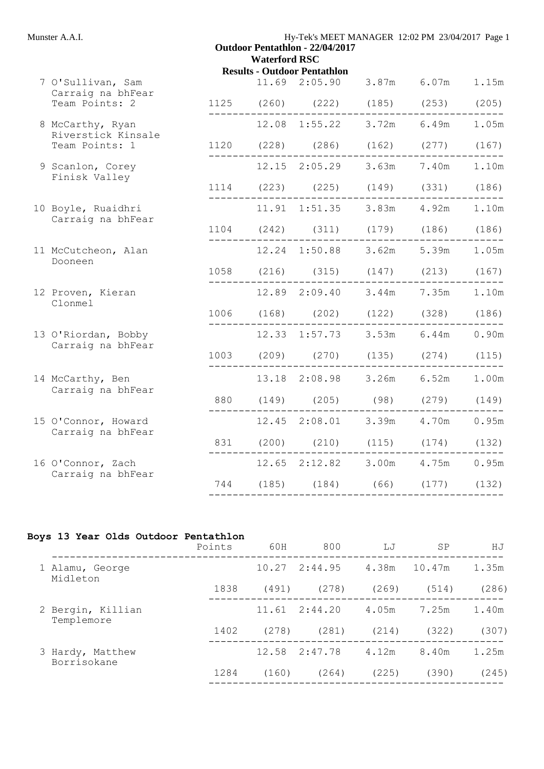| Munster A.A.I. |  |
|----------------|--|
|----------------|--|

| Munster A.A.I.                           | Hy-Tek's MEET MANAGER 12:02 PM 23/04/2017 Page 1<br><b>Outdoor Pentathlon - 22/04/2017</b><br><b>Waterford RSC</b> |  |                                                                            |  |  |           |  |  |
|------------------------------------------|--------------------------------------------------------------------------------------------------------------------|--|----------------------------------------------------------------------------|--|--|-----------|--|--|
|                                          |                                                                                                                    |  | <b>Results - Outdoor Pentathlon</b>                                        |  |  |           |  |  |
| 7 O'Sullivan, Sam<br>Carraig na bhFear   |                                                                                                                    |  | 11.69  2:05.90  3.87m  6.07m  1.15m                                        |  |  |           |  |  |
| Team Points: 2                           |                                                                                                                    |  | 1125 (260) (222) (185) (253) (205)                                         |  |  | --------- |  |  |
| 8 McCarthy, Ryan<br>Riverstick Kinsale   |                                                                                                                    |  | 12.08 1:55.22 3.72m 6.49m 1.05m                                            |  |  |           |  |  |
| Team Points: 1                           |                                                                                                                    |  | 1120 (228) (286) (162) (277) (167)                                         |  |  |           |  |  |
| 9 Scanlon, Corey<br>Finisk Valley        |                                                                                                                    |  | 12.15 2:05.29 3.63m 7.40m                                                  |  |  | 1.10m     |  |  |
|                                          |                                                                                                                    |  | $1114$ (223) (225) (149) (331) (186)                                       |  |  |           |  |  |
| 10 Boyle, Ruaidhri<br>Carraig na bhFear  |                                                                                                                    |  | 11.91  1:51.35  3.83m  4.92m                                               |  |  | 1.10m     |  |  |
|                                          | ---------                                                                                                          |  | 1104 (242) (311) (179) (186) (186)                                         |  |  |           |  |  |
| 11 McCutcheon, Alan<br>Dooneen           |                                                                                                                    |  | 12.24 1:50.88 3.62m 5.39m 1.05m                                            |  |  |           |  |  |
|                                          |                                                                                                                    |  | 1058 (216) (315) (147) (213) (167)                                         |  |  |           |  |  |
| 12 Proven, Kieran<br>Clonmel             |                                                                                                                    |  | 12.89  2:09.40  3.44m  7.35m  1.10m                                        |  |  |           |  |  |
|                                          |                                                                                                                    |  | $1006$ (168) (202) (122) (328) (186)                                       |  |  |           |  |  |
| 13 O'Riordan, Bobby<br>Carraig na bhFear |                                                                                                                    |  | 12.33 1:57.73 3.53m 6.44m 0.90m                                            |  |  |           |  |  |
|                                          |                                                                                                                    |  | 1003 (209) (270) (135) (274) (115)                                         |  |  |           |  |  |
| 14 McCarthy, Ben<br>Carraig na bhFear    |                                                                                                                    |  | 13.18 2:08.98 3.26m 6.52m 1.00m                                            |  |  |           |  |  |
|                                          |                                                                                                                    |  |                                                                            |  |  |           |  |  |
| 15 O'Connor, Howard<br>Carraig na bhFear |                                                                                                                    |  | 12.45 2:08.01 3.39m 4.70m 0.95m                                            |  |  |           |  |  |
|                                          |                                                                                                                    |  | 831 (200) (210) (115) (174) (132)                                          |  |  |           |  |  |
| 16 O'Connor, Zach<br>Carraig na bhFear   |                                                                                                                    |  | 12.65 2:12.82 3.00m 4.75m 0.95m                                            |  |  |           |  |  |
|                                          |                                                                                                                    |  | 744 (185) (184) (66) (177) (132)<br>-------------------------------------- |  |  |           |  |  |
|                                          |                                                                                                                    |  |                                                                            |  |  |           |  |  |

## **Boys 13 Year Olds Outdoor Pentathlon**

|                                 | Points | 60H   | 800     | LJ    | SP     | НJ    |
|---------------------------------|--------|-------|---------|-------|--------|-------|
| 1 Alamu, George<br>Midleton     |        | 10.27 | 2:44.95 | 4.38m | 10.47m | 1.35m |
|                                 | 1838   | (491) | (278)   | (269) | (514)  | (286) |
| 2 Bergin, Killian<br>Templemore |        | 11.61 | 2:44.20 | 4.05m | 7.25m  | 1.40m |
|                                 | 1402   | (278) | (281)   | (214) | (322)  | (307) |
| 3 Hardy, Matthew<br>Borrisokane |        | 12.58 | 2:47.78 | 4.12m | 8.40m  | 1.25m |
|                                 | 1284   | (160) | (264)   | (225) | (390)  | (245) |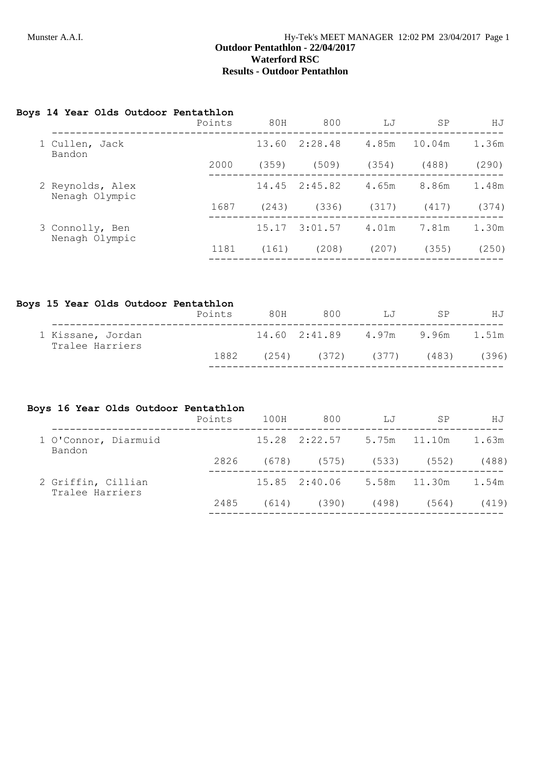## **Boys 14 Year Olds Outdoor Pentathlon**

|                                    | Points | 80H   | 800     | LJ    | SP     | НJ    |
|------------------------------------|--------|-------|---------|-------|--------|-------|
| 1 Cullen, Jack<br>Bandon           |        | 13.60 | 2:28.48 | 4.85m | 10.04m | 1.36m |
|                                    | 2000   | (359) | (509)   | (354) | (488)  | (290) |
| 2 Reynolds, Alex<br>Nenagh Olympic |        | 14.45 | 2:45.82 | 4.65m | 8.86m  | 1.48m |
|                                    | 1687   | (243) | (336)   | (317) | (417)  | (374) |
| 3 Connolly, Ben                    |        | 15.17 | 3:01.57 | 4.01m | 7.81m  | 1.30m |
| Nenagh Olympic                     | 1181   | (161) | (208)   | (207) | (355)  | (250) |
|                                    |        |       |         |       |        |       |

## **Boys 15 Year Olds Outdoor Pentathlon**

|                                      | Points | 80H   | 800                       | $T_{\rm H}T$    | SP    | HJ    |
|--------------------------------------|--------|-------|---------------------------|-----------------|-------|-------|
| 1 Kissane, Jordan<br>Tralee Harriers |        |       | 14.60 2:41.89 4.97m 9.96m |                 |       | 1.51m |
|                                      | 1882   | (254) |                           | $(372)$ $(377)$ | (483) | (396) |
|                                      |        |       |                           |                 |       |       |

## **Boys 16 Year Olds Outdoor Pentathlon**

|                                       | Points | 100H  | 800                                | LJ    | SP    | НJ    |
|---------------------------------------|--------|-------|------------------------------------|-------|-------|-------|
| 1 O'Connor, Diarmuid<br>Bandon        |        |       | $15.28$ $2:22.57$ $5.75m$ $11.10m$ |       |       | 1.63m |
|                                       | 2826   |       | $(678)$ $(575)$ $(533)$ $(552)$    |       |       | (488) |
| 2 Griffin, Cillian<br>Tralee Harriers |        |       | 15.85 2:40.06 5.58m 11.30m         |       |       | 1.54m |
|                                       | 2485   | (614) | (390)                              | (498) | (564) | (419) |
|                                       |        |       |                                    |       |       |       |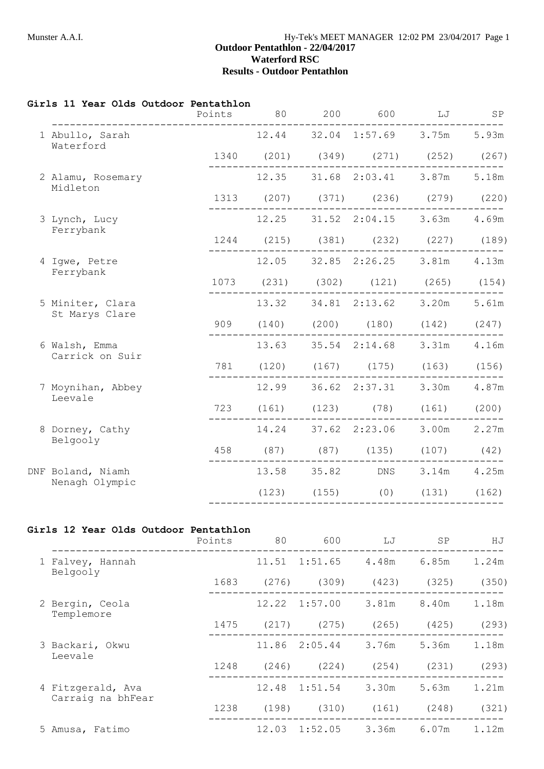#### **Girls 11 Year Olds Outdoor Pentathlon**

|                                     | Points | 80    | 200 | 600 | LJ                                      | SP    |
|-------------------------------------|--------|-------|-----|-----|-----------------------------------------|-------|
| 1 Abullo, Sarah<br>Waterford        |        |       |     |     | 12.44 32.04 1:57.69 3.75m 5.93m         |       |
|                                     |        |       |     |     | 1340 (201) (349) (271) (252) (267)      |       |
| 2 Alamu, Rosemary<br>Midleton       |        |       |     |     | 12.35 31.68 2:03.41 3.87m 5.18m         |       |
|                                     |        |       |     |     | 1313 (207) (371) (236) (279) (220)      |       |
| 3 Lynch, Lucy<br>Ferrybank          |        |       |     |     | 12.25 31.52 2:04.15 3.63m 4.69m         |       |
|                                     |        |       |     |     | 1244 (215) (381) (232) (227) (189)      |       |
| 4 Iqwe, Petre<br>Ferrybank          |        |       |     |     | 12.05 32.85 2:26.25 3.81m 4.13m         |       |
|                                     |        |       |     |     | 1073 (231) (302) (121) (265) (154)      |       |
| 5 Miniter, Clara<br>St Marys Clare  |        | 13.32 |     |     | 34.81 2:13.62 3.20m                     | 5.61m |
|                                     | 909    |       |     |     | $(140)$ $(200)$ $(180)$ $(142)$ $(247)$ |       |
| 6 Walsh, Emma<br>Carrick on Suir    |        |       |     |     | 13.63 35.54 2:14.68 3.31m               | 4.16m |
|                                     |        |       |     |     | 781 (120) (167) (175) (163) (156)       |       |
| 7 Moynihan, Abbey<br>Leevale        |        | 12.99 |     |     | 36.62 2:37.31 3.30m                     | 4.87m |
|                                     |        |       |     |     | 723 (161) (123) (78) (161) (200)        |       |
| 8 Dorney, Cathy<br>Belgooly         |        | 14.24 |     |     | 37.62 2:23.06 3.00m                     | 2.27m |
|                                     |        |       |     |     | 458 (87) (87) (135) (107) (42)          |       |
| DNF Boland, Niamh<br>Nenagh Olympic |        | 13.58 |     |     | 35.82 DNS 3.14m 4.25m                   |       |
|                                     |        |       |     |     | $(123)$ $(155)$ $(0)$ $(131)$ $(162)$   |       |
|                                     |        |       |     |     |                                         |       |

## **Girls 12 Year Olds Outdoor Pentathlon**

|                                        | Points | 80    | 600             | LJ    | <b>SP</b> | ΗJ    |
|----------------------------------------|--------|-------|-----------------|-------|-----------|-------|
| 1 Falvey, Hannah<br>Belgooly           |        | 11.51 | 1:51.65         | 4.48m | 6.85m     | 1.24m |
|                                        | 1683   | (276) | (309)           | (423) | (325)     | (350) |
| 2 Bergin, Ceola<br>Templemore          |        | 12.22 | 1:57.00         | 3.81m | 8.40m     | 1.18m |
|                                        | 1475   | (217) | (275)           | (265) | (425)     | (293) |
| 3 Backari, Okwu<br>Leevale             |        | 11.86 | 2:05.44         | 3.76m | 5.36m     | 1.18m |
|                                        | 1248   | (246) | (224)           | (254) | (231)     | (293) |
| 4 Fitzgerald, Ava<br>Carraig na bhFear |        | 12.48 | 1:51.54         | 3.30m | 5.63m     | 1.21m |
|                                        | 1238   | (198) | $(310)$ $(161)$ |       | (248)     | (321) |
| 5 Amusa, Fatimo                        |        | 12.03 | 1:52.05         | 3.36m | 6.07m     | 1.12m |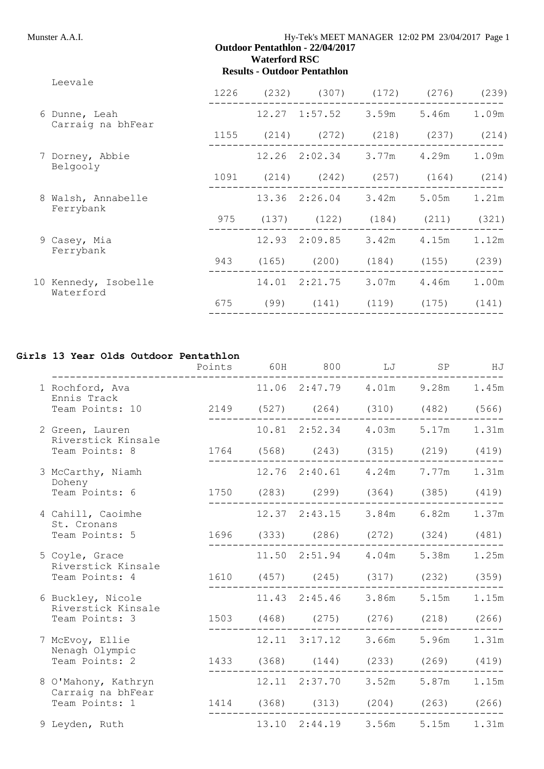|                                    |                                   | 1226 |      | $(232)$ $(307)$                 | (172)                   | (276)           | (239) |
|------------------------------------|-----------------------------------|------|------|---------------------------------|-------------------------|-----------------|-------|
| 6 Dunne, Leah<br>Carraig na bhFear |                                   |      |      | 12.27 1:57.52 3.59m             |                         | 5.46m           | 1.09m |
|                                    |                                   | 1155 |      | $(214)$ $(272)$ $(218)$ $(237)$ |                         |                 | (214) |
|                                    | 7 Dorney, Abbie<br>Belgooly       |      |      | 12.26 2:02.34 3.77m             |                         | 4.29m           | 1.09m |
|                                    |                                   | 1091 |      | $(214)$ $(242)$ $(257)$ $(164)$ |                         |                 | (214) |
| 8 Walsh, Annabelle                 | Ferrybank                         |      |      | 13.36 2:26.04 3.42m             |                         | 5.05m           | 1.21m |
|                                    |                                   | 975  |      | $(137)$ $(122)$ $(184)$ $(211)$ |                         |                 | (321) |
|                                    | 9 Casey, Mia<br>Ferrybank         |      |      | 12.93 2:09.85                   |                         | $3.42m$ $4.15m$ | 1.12m |
|                                    |                                   | 943  |      | $(165)$ $(200)$ $(184)$         |                         | (155)           | (239) |
|                                    | 10 Kennedy, Isobelle<br>Waterford |      |      | 14.01 2:21.75 3.07m             |                         | 4.46m           | 1.00m |
|                                    |                                   | 675  | (99) |                                 | $(141)$ $(119)$ $(175)$ |                 | (141) |
|                                    |                                   |      |      |                                 |                         |                 |       |

## **Girls 13 Year Olds Outdoor Pentathlon**

|                                          | Points | 60H | 800                             | LJ    | SP    | HJ    |
|------------------------------------------|--------|-----|---------------------------------|-------|-------|-------|
| 1 Rochford, Ava<br>Ennis Track           |        |     | 11.06 2:47.79 4.01m 9.28m       |       |       | 1.45m |
| Team Points: 10                          |        |     | 2149 (527) (264) (310) (482)    |       |       | (566) |
| 2 Green, Lauren<br>Riverstick Kinsale    |        |     | $10.81$ $2:52.34$ $4.03m$       |       | 5.17m | 1.31m |
| Team Points: 8                           | 1764   |     | $(568)$ $(243)$ $(315)$ $(219)$ |       |       | (419) |
| 3 McCarthy, Niamh<br>Doheny              |        |     | $12.76$ $2:40.61$ $4.24m$       |       | 7.77m | 1.31m |
| Team Points: 6                           |        |     | 1750 (283) (299) (364) (385)    |       |       | (419) |
| 4 Cahill, Caoimhe<br>St. Cronans         |        |     | 12.37 2:43.15 3.84m 6.82m       |       |       | 1.37m |
| Team Points: 5                           |        |     | 1696 (333) (286) (272) (324)    |       |       | (481) |
| 5 Coyle, Grace<br>Riverstick Kinsale     |        |     | 11.50 2:51.94 4.04m 5.38m       |       |       | 1.25m |
| Team Points: 4                           |        |     | 1610 (457) (245) (317) (232)    |       |       | (359) |
| 6 Buckley, Nicole<br>Riverstick Kinsale  |        |     | 11.43 2:45.46 3.86m             |       | 5.15m | 1.15m |
| Team Points: 3                           | 1503   |     | $(468)$ $(275)$ $(276)$ $(218)$ |       |       | (266) |
| 7 McEvoy, Ellie<br>Nenagh Olympic        |        |     | $12.11$ $3:17.12$               | 3.66m | 5.96m | 1.31m |
| Team Points: 2                           |        |     | 1433 (368) (144) (233) (269)    |       |       | (419) |
| 8 O'Mahony, Kathryn<br>Carraig na bhFear |        |     | 12.11 2:37.70 3.52m             |       | 5.87m | 1.15m |
| Team Points: 1                           |        |     | 1414 (368) (313) (204) (263)    |       |       | (266) |
| 9 Leyden, Ruth                           |        |     | 13.10 2:44.19                   | 3.56m | 5.15m | 1.31m |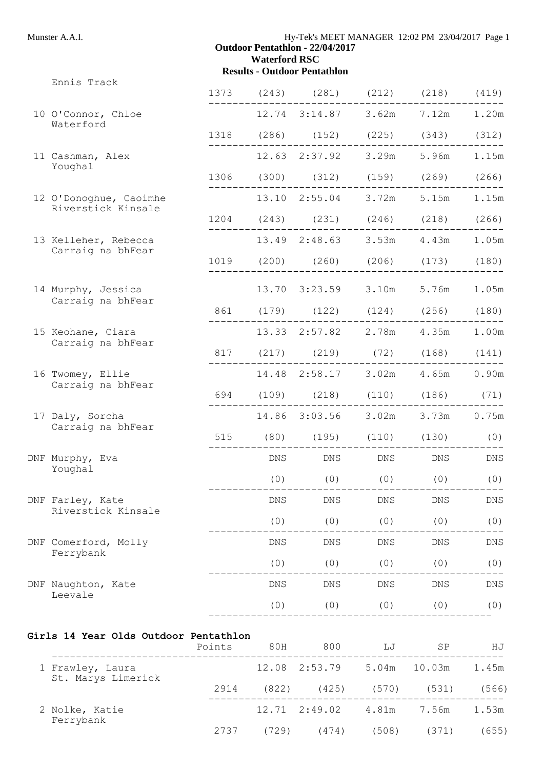1373 (243) (281) (212) (218) (419)

-------------------------------------------------

-------------------------------------------------

1204 (243) (231) (246) (218) (266)

1019 (200) (260) (206) (173) (180)

861 (179) (122) (124) (256) (180)

817 (217) (219) (72) (168) (141)

694 (109) (218) (110) (186) (71)

515 (80) (195) (110) (130) (0)

-------------------------------------------------

-------------------------------------------------

-------------------------------------------------

-----------------------------------------------

-------------------------------------------------

-------------------------------------------------

1318 (286) (152) (225) (343) (312)

1306 (300) (312) (159) (269) (266)

-------------------------------------------------

 $(0)$   $(0)$   $(0)$   $(0)$   $(0)$   $(0)$ 

Ennis Track

- 10 O'Connor, Chloe 12.74 3:14.87 3.62m 7.12m 1.20m Waterford
- 11 Cashman, Alex 12.63 2:37.92 3.29m 5.96m 1.15m Youghal
- 12 O'Donoghue, Caoimhe 13.10 2:55.04 3.72m 5.15m 1.15m Riverstick Kinsale
- ------------------------------------------------- 13 Kelleher, Rebecca 13.49 2:48.63 3.53m 4.43m 1.05m Carraig na bhFear
- 14 Murphy, Jessica 13.70 3:23.59 3.10m 5.76m 1.05m Carraig na bhFear
- ------------------------------------------------- 15 Keohane, Ciara 13.33 2:57.82 2.78m 4.35m 1.00m Carraig na bhFear
- ------------------------------------------------- 16 Twomey, Ellie 14.48 2:58.17 3.02m 4.65m 0.90m Carraig na bhFear
- ------------------------------------------------- 17 Daly, Sorcha 14.86 3:03.56 3.02m 3.73m 0.75m Carraig na bhFear
- DNF Murphy, Eva DNS DNS DNS DNS DNS Youghal
- DNF Farley, Kate and DNS DNS DNS DNS DNS DNS DNS Riverstick Kinsale  $(0)$   $(0)$   $(0)$   $(0)$   $(0)$   $(0)$
- DNF Comerford, Molly **DNS** DNS DNS DNS DNS DNS DNS Ferrybank  $(0)$   $(0)$   $(0)$   $(0)$   $(0)$   $(0)$
- DNF Naughton, Kate and DNS DNS DNS DNS DNS DNS DNS DNS
- Leevale  $(0)$   $(0)$   $(0)$   $(0)$   $(0)$   $(0)$

#### **Girls 14 Year Olds Outdoor Pentathlon**

|                                        | Points | 80H   | 800                               | LJ                | SP     | ΗJ    |
|----------------------------------------|--------|-------|-----------------------------------|-------------------|--------|-------|
| 1 Frawley, Laura<br>St. Marys Limerick |        |       | $12.08$ $2:53.79$ $5.04m$         |                   | 10.03m | 1.45m |
|                                        | 2914   | (822) |                                   | (425) (570) (531) |        | (566) |
| 2 Nolke, Katie<br>Ferrybank            |        |       | $12.71 \quad 2:49.02 \quad 4.81m$ |                   | 7.56m  | 1.53m |
|                                        | 2737   | (729) | (474)                             | (508)             | (371)  | (655) |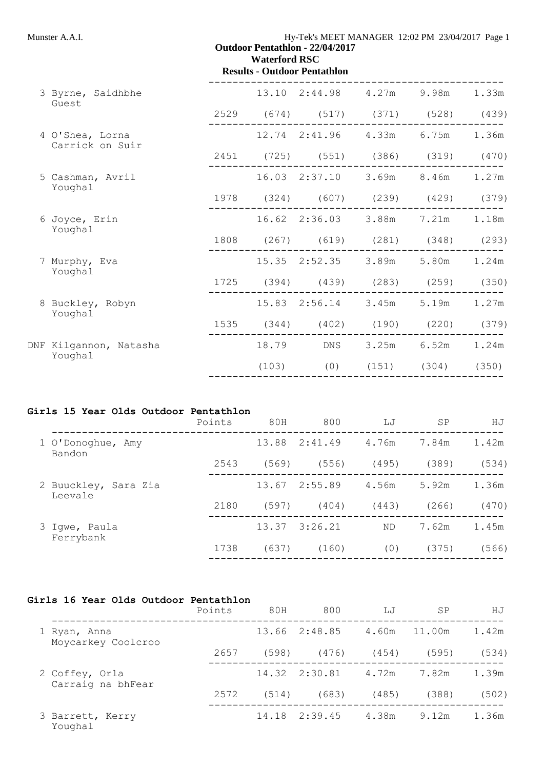|                                    | <b>Waterford RSC</b> | <b>Outdoor Pentathlon - 22/04/2017</b><br><b>Results - Outdoor Pentathlon</b> |                               |       |
|------------------------------------|----------------------|-------------------------------------------------------------------------------|-------------------------------|-------|
| 3 Byrne, Saidhbhe<br>Guest         |                      | 13.10 2:44.98 4.27m 9.98m 1.33m                                               |                               |       |
|                                    |                      | 2529 (674) (517) (371) (528) (439)                                            |                               |       |
| 4 O'Shea, Lorna<br>Carrick on Suir |                      | 12.74 2:41.96 4.33m 6.75m 1.36m                                               |                               |       |
|                                    |                      | 2451 (725) (551) (386) (319) (470)                                            |                               |       |
| 5 Cashman, Avril<br>Youghal        |                      | 16.03 2:37.10 3.69m 8.46m 1.27m                                               |                               |       |
|                                    |                      | 1978 (324) (607) (239) (429) (379)                                            |                               |       |
| 6 Joyce, Erin<br>Youghal           |                      | 16.62 2:36.03 3.88m 7.21m 1.18m                                               |                               |       |
|                                    |                      | 1808 (267) (619) (281) (348) (293)                                            |                               |       |
| 7 Murphy, Eva<br>Youghal           |                      | 15.35 2:52.35 3.89m 5.80m                                                     |                               | 1.24m |
|                                    |                      | 1725 (394) (439) (283) (259) (350)                                            |                               |       |
| 8 Buckley, Robyn<br>Youghal        |                      | 15.83 2:56.14 3.45m 5.19m                                                     |                               | 1.27m |
|                                    |                      | 1535 (344) (402) (190) (220) (379)                                            |                               |       |
| DNF Kilgannon, Natasha<br>Youghal  |                      | 18.79 DNS 3.25m 6.52m 1.24m                                                   |                               |       |
|                                    | (103)                |                                                                               | $(0)$ $(151)$ $(304)$ $(350)$ |       |

## **Girls 15 Year Olds Outdoor Pentathlon**

|                                 | Points | 80H   | 800     | LJ        | SP    | ΗJ    |
|---------------------------------|--------|-------|---------|-----------|-------|-------|
| 1 O'Donoghue, Amy<br>Bandon     |        | 13.88 | 2:41.49 | 4.76m     | 7.84m | 1.42m |
|                                 | 2543   | (569) | (556)   | (495)     | (389) | (534) |
| 2 Buuckley, Sara Zia<br>Leevale |        | 13.67 | 2:55.89 | 4.56m     | 5.92m | 1.36m |
|                                 | 2180   | (597) | (404)   | (443)     | (266) | (470) |
| 3 Iqwe, Paula<br>Ferrybank      |        | 13.37 | 3:26.21 | <b>ND</b> | 7.62m | 1.45m |
|                                 | 1738   | (637) | (160)   | (0)       | (375) | (566) |
|                                 |        |       |         |           |       |       |

## **Girls 16 Year Olds Outdoor Pentathlon**

|                                     | Points | 80H   | 800           | LJ    | SP     | ΗJ    |
|-------------------------------------|--------|-------|---------------|-------|--------|-------|
| 1 Ryan, Anna<br>Moycarkey Coolcroo  |        |       | 13.66 2:48.85 | 4.60m | 11.00m | 1.42m |
|                                     | 2657   | (598) | (476)         | (454) | (595)  | (534) |
| 2 Coffey, Orla<br>Carraig na bhFear |        |       | 14.32 2:30.81 | 4.72m | 7.82m  | 1.39m |
|                                     | 2572   | (514) | (683)         | (485) | (388)  | (502) |
| 3 Barrett, Kerry<br>Youghal         |        |       | 14.18 2:39.45 | 4.38m | 9.12m  | 1.36m |